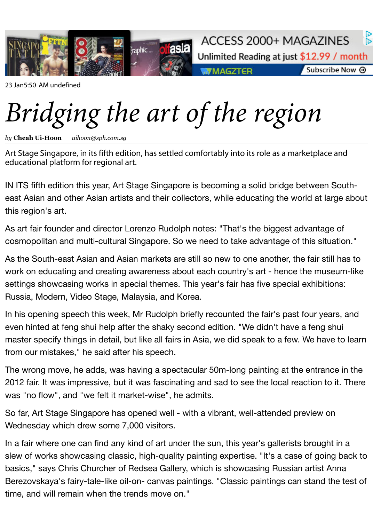## *Bridging the art of the region*

*by* **Cheah Ui-Hoon** *uihoon@sph.com.sg*

Art Stage Singapore, in its fifth edition, has settled comfortably into its role as a marke educational platform for regional art.

IN ITS fifth edition this year, Art Stage Singapore is becoming a solid bridge bet east Asian and other Asian artists and their collectors, while educating the world this region's art.

As art fair founder and director Lorenzo Rudolph notes: "That's the biggest advantage of cosmopolitan and multi-cultural Singapore. So we need to take advantage of the

As the South-eas[t Asian and Asi](mailto:uihoon@sph.com.sg)an markets are still so new to one another, the fair still has the fair still has that in that still has the still has the still has the fair still has the still has the still has the South s work on educating and creating awareness about each country's art - hence the settings showcasing works in special themes. This year's fair has five special ex Russia, Modern, Video Stage, Malaysia, and Korea.

In his opening speech this week, Mr Rudolph briefly recounted the fair's past fo even hinted at feng shui help after the shaky second edition. "We didn't have a master specify things in detail, but like all fairs in Asia, we did speak to a few. We from our mistakes," he said after his speech.

The wrong move, he adds, was having a spectacular 50m-long painting at the  $\epsilon$ 2012 fair. It was impressive, but it was fascinating and sad to see the local react was "no flow", and "we felt it market-wise", he admits.

So far, Art Stage Singapore has opened well - with a vibrant, well-attended prev Wednesday which drew some 7,000 visitors.

In a fair where one can find any kind of art under the sun, this year's gallerists b slew of works showcasing classic, high-quality painting expertise. "It's a case o basics," says Chris Churcher of Redsea Gallery, which is showcasing Russian a Berezovskaya's fairy-tale-like oil-on- canvas paintings. "Classic paintings can st time, and will remain when the trends move on."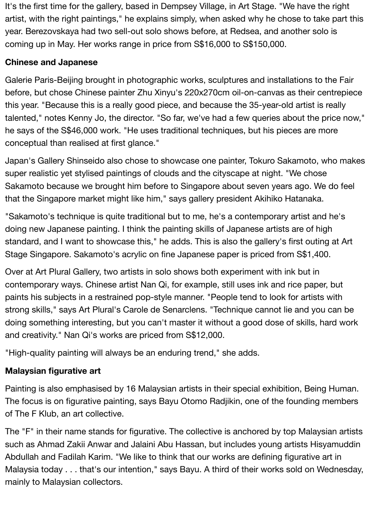It's the first time for the gallery, based in Dempsey Village, in Art Stage. "We have the right artist, with the right paintings," he explains simply, when asked why he chose to take part this year. Berezovskaya had two sell-out solo shows before, at Redsea, and another solo is coming up in May. Her works range in price from S\$16,000 to S\$150,000.

## **Chinese and Japanese**

Galerie Paris-Beijing brought in photographic works, sculptures and installations to the Fair before, but chose Chinese painter Zhu Xinyu's 220x270cm oil-on-canvas as their centrepiece this year. "Because this is a really good piece, and because the 35-year-old artist is really talented," notes Kenny Jo, the director. "So far, we've had a few queries about the price now," he says of the S\$46,000 work. "He uses traditional techniques, but his pieces are more conceptual than realised at first glance."

Japan's Gallery Shinseido also chose to showcase one painter, Tokuro Sakamoto, who makes super realistic yet stylised paintings of clouds and the cityscape at night. "We chose Sakamoto because we brought him before to Singapore about seven years ago. We do feel that the Singapore market might like him," says gallery president Akihiko Hatanaka.

"Sakamoto's technique is quite traditional but to me, he's a contemporary artist and he's doing new Japanese painting. I think the painting skills of Japanese artists are of high standard, and I want to showcase this," he adds. This is also the gallery's first outing at Art Stage Singapore. Sakamoto's acrylic on fine Japanese paper is priced from S\$1,400.

Over at Art Plural Gallery, two artists in solo shows both experiment with ink but in contemporary ways. Chinese artist Nan Qi, for example, still uses ink and rice paper, but paints his subjects in a restrained pop-style manner. "People tend to look for artists with strong skills," says Art Plural's Carole de Senarclens. "Technique cannot lie and you can be doing something interesting, but you can't master it without a good dose of skills, hard work and creativity." Nan Qi's works are priced from S\$12,000.

"High-quality painting will always be an enduring trend," she adds.

## **Malaysian figurative art**

Painting is also emphasised by 16 Malaysian artists in their special exhibition, Being Human. The focus is on figurative painting, says Bayu Otomo Radjikin, one of the founding members of The F Klub, an art collective.

The "F" in their name stands for figurative. The collective is anchored by top Malaysian artists such as Ahmad Zakii Anwar and Jalaini Abu Hassan, but includes young artists Hisyamuddin Abdullah and Fadilah Karim. "We like to think that our works are defining figurative art in Malaysia today . . . that's our intention," says Bayu. A third of their works sold on Wednesday, mainly to Malaysian collectors.